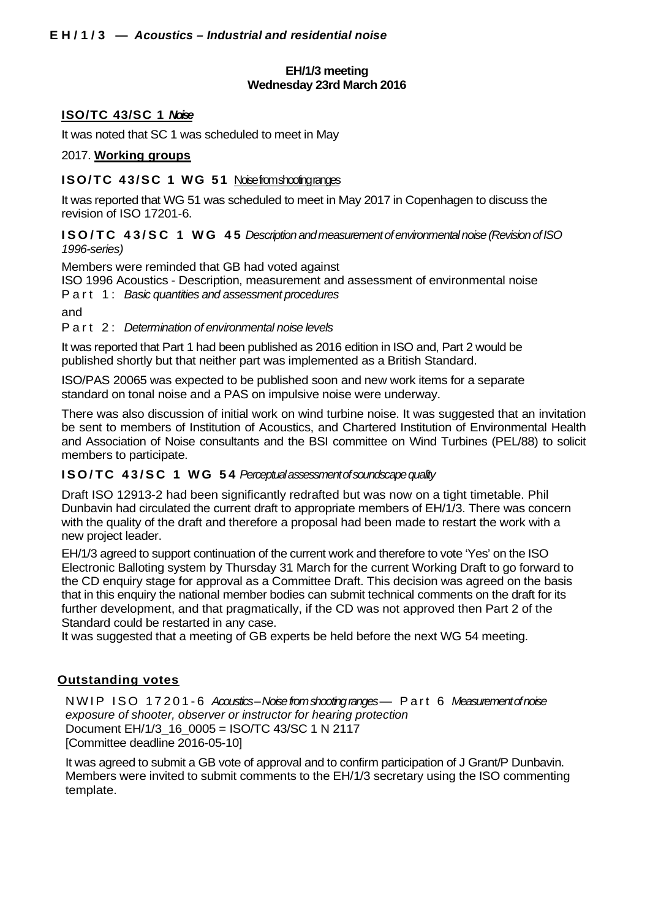# **EH/1/3 meeting Wednesday 23rd March 2016**

# **ISO/TC 43/SC 1** *Noise*

It was noted that SC 1 was scheduled to meet in May

# 2017. **Working groups**

# **ISO/TC 43/SC 1 WG 51 Noise from shooting ranges**

It was reported that WG 51 was scheduled to meet in May 2017 in Copenhagen to discuss the revision of ISO 17201-6.

# **ISO/TC 43/SC 1 WG 45** *Description and measurement of environmental noise (Revision of ISO 1996-series)*

Members were reminded that GB had voted against

ISO 1996 Acoustics - Description, measurement and assessment of environmental noise Part 1: *Basic quantities and assessment procedures*

and

# Part 2: *Determination of environmental noise levels*

It was reported that Part 1 had been published as 2016 edition in ISO and, Part 2 would be published shortly but that neither part was implemented as a British Standard.

ISO/PAS 20065 was expected to be published soon and new work items for a separate standard on tonal noise and a PAS on impulsive noise were underway.

There was also discussion of initial work on wind turbine noise. It was suggested that an invitation be sent to members of Institution of Acoustics, and Chartered Institution of Environmental Health and Association of Noise consultants and the BSI committee on Wind Turbines (PEL/88) to solicit members to participate.

# **ISO/TC 43/SC 1 WG 54** *Perceptual assessment of soundscape quality*

Draft ISO 12913-2 had been significantly redrafted but was now on a tight timetable. Phil Dunbavin had circulated the current draft to appropriate members of EH/1/3. There was concern with the quality of the draft and therefore a proposal had been made to restart the work with a new project leader.

EH/1/3 agreed to support continuation of the current work and therefore to vote 'Yes' on the ISO Electronic Balloting system by Thursday 31 March for the current Working Draft to go forward to the CD enquiry stage for approval as a Committee Draft. This decision was agreed on the basis that in this enquiry the national member bodies can submit technical comments on the draft for its further development, and that pragmatically, if the CD was not approved then Part 2 of the Standard could be restarted in any case.

It was suggested that a meeting of GB experts be held before the next WG 54 meeting.

# **Outstanding votes**

NWIP ISO 17201 - 6 *Acoustics –Noise from shooting ranges* — Part 6 *Measurement of noise exposure of shooter, observer or instructor for hearing protection* Document EH/1/3\_16\_0005 = ISO/TC 43/SC 1 N 2117 [Committee deadline 2016-05-10]

It was agreed to submit a GB vote of approval and to confirm participation of J Grant/P Dunbavin. Members were invited to submit comments to the EH/1/3 secretary using the ISO commenting template.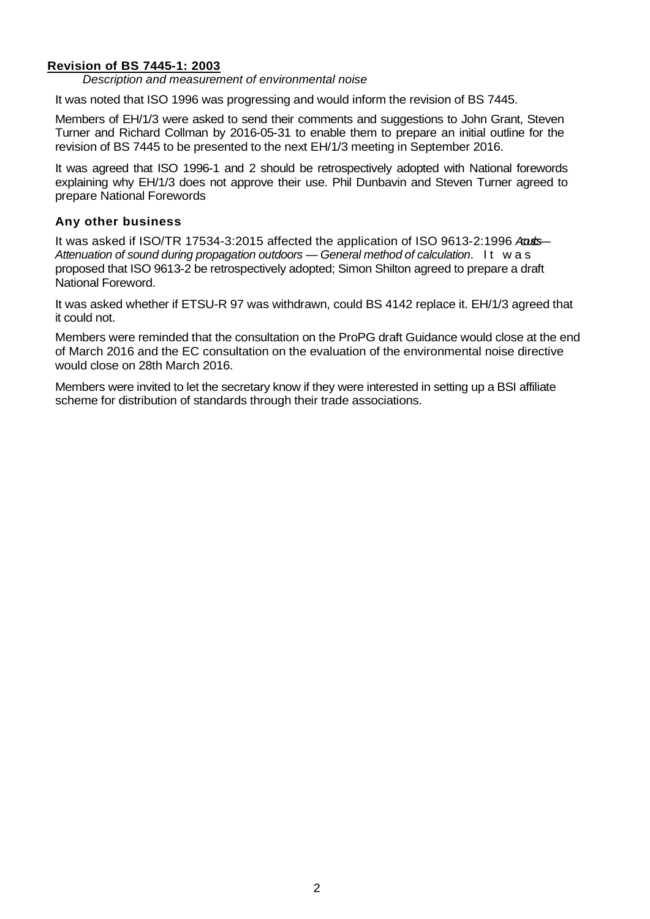# **Revision of BS 7445-1: 2003**

*Description and measurement of environmental noise*

It was noted that ISO 1996 was progressing and would inform the revision of BS 7445.

Members of EH/1/3 were asked to send their comments and suggestions to John Grant, Steven Turner and Richard Collman by 2016-05-31 to enable them to prepare an initial outline for the revision of BS 7445 to be presented to the next EH/1/3 meeting in September 2016.

It was agreed that ISO 1996-1 and 2 should be retrospectively adopted with National forewords explaining why EH/1/3 does not approve their use. Phil Dunbavin and Steven Turner agreed to prepare National Forewords

# **Any other business**

It was asked if ISO/TR 17534-3:2015 affected the application of ISO 9613-2:1996 *Acoustics — Attenuation of sound during propagation outdoors — General method of calculation*. It was proposed that ISO 9613-2 be retrospectively adopted; Simon Shilton agreed to prepare a draft National Foreword.

It was asked whether if ETSU-R 97 was withdrawn, could BS 4142 replace it. EH/1/3 agreed that it could not.

Members were reminded that the consultation on the ProPG draft Guidance would close at the end of March 2016 and the EC consultation on the evaluation of the environmental noise directive would close on 28th March 2016.

Members were invited to let the secretary know if they were interested in setting up a BSI affiliate scheme for distribution of standards through their trade associations.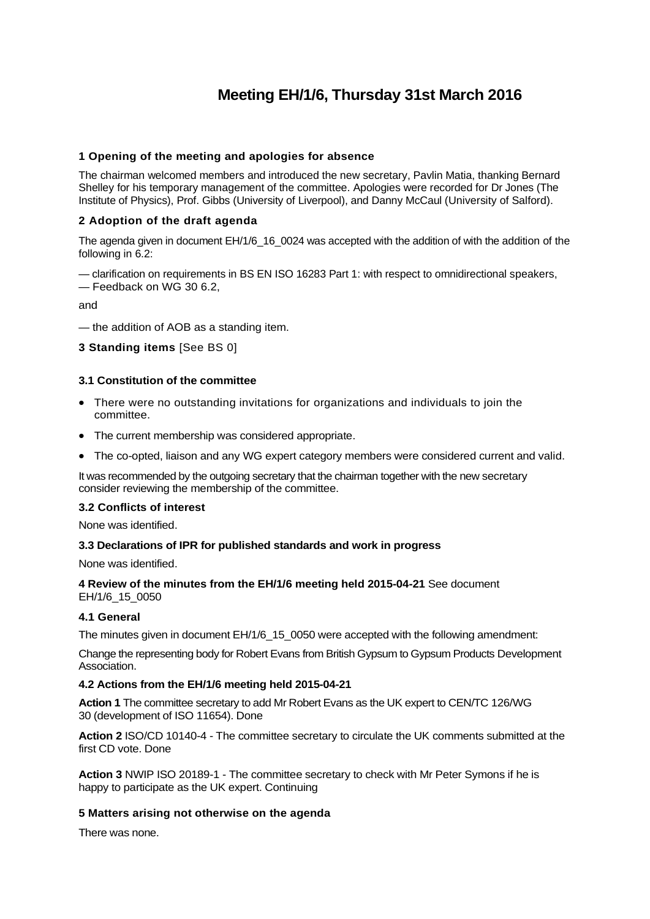# **Meeting EH/1/6, Thursday 31st March 2016**

## **1 Opening of the meeting and apologies for absence**

The chairman welcomed members and introduced the new secretary, Pavlin Matia, thanking Bernard Shelley for his temporary management of the committee. Apologies were recorded for Dr Jones (The Institute of Physics), Prof. Gibbs (University of Liverpool), and Danny McCaul (University of Salford).

## **2 Adoption of the draft agenda**

The agenda given in document EH/1/6\_16\_0024 was accepted with the addition of with the addition of the following in 6.2:

— clarification on requirements in BS EN ISO 16283 Part 1: with respect to omnidirectional speakers, — Feedback on WG 30 6.2,

and

— the addition of AOB as a standing item.

**3 Standing items** [See BS 0]

## **3.1 Constitution of the committee**

- There were no outstanding invitations for organizations and individuals to join the committee.
- The current membership was considered appropriate.
- The co-opted, liaison and any WG expert category members were considered current and valid.

It was recommended by the outgoing secretary that the chairman together with the new secretary consider reviewing the membership of the committee.

#### **3.2 Conflicts of interest**

None was identified.

#### **3.3 Declarations of IPR for published standards and work in progress**

None was identified.

#### **4 Review of the minutes from the EH/1/6 meeting held 2015-04-21** See document EH/1/6\_15\_0050

#### **4.1 General**

The minutes given in document EH/1/6\_15\_0050 were accepted with the following amendment:

Change the representing body for Robert Evans from British Gypsum to Gypsum Products Development Association.

#### **4.2 Actions from the EH/1/6 meeting held 2015-04-21**

**Action 1** The committee secretary to add Mr Robert Evans as the UK expert to CEN/TC 126/WG 30 (development of ISO 11654). Done

**Action 2** ISO/CD 10140-4 - The committee secretary to circulate the UK comments submitted at the first CD vote. Done

**Action 3** NWIP ISO 20189-1 - The committee secretary to check with Mr Peter Symons if he is happy to participate as the UK expert. Continuing

#### **5 Matters arising not otherwise on the agenda**

There was none.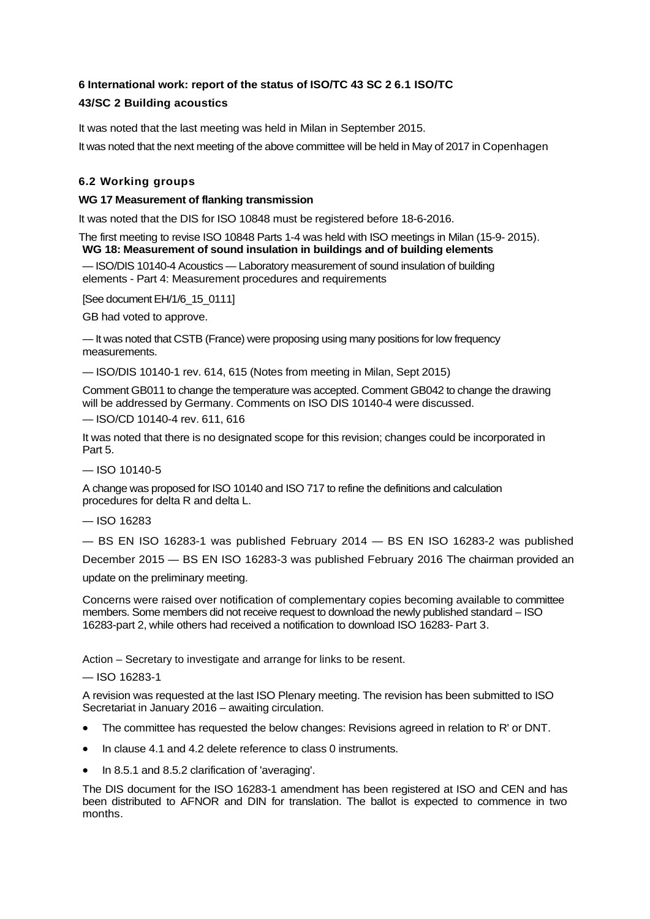# **6 International work: report of the status of ISO/TC 43 SC 2 6.1 ISO/TC**

# **43/SC 2 Building acoustics**

It was noted that the last meeting was held in Milan in September 2015.

It was noted that the next meeting of the above committee will be held in May of 2017 in Copenhagen

# **6.2 Working groups**

## **WG 17 Measurement of flanking transmission**

It was noted that the DIS for ISO 10848 must be registered before 18-6-2016.

The first meeting to revise ISO 10848 Parts 1-4 was held with ISO meetings in Milan (15-9- 2015). **WG 18: Measurement of sound insulation in buildings and of building elements**

— ISO/DIS 10140-4 Acoustics — Laboratory measurement of sound insulation of building elements - Part 4: Measurement procedures and requirements

[See document EH/1/6\_15\_0111]

GB had voted to approve.

— It was noted that CSTB (France) were proposing using many positions for low frequency measurements.

— ISO/DIS 10140-1 rev. 614, 615 (Notes from meeting in Milan, Sept 2015)

Comment GB011 to change the temperature was accepted. Comment GB042 to change the drawing will be addressed by Germany. Comments on ISO DIS 10140-4 were discussed.

— ISO/CD 10140-4 rev. 611, 616

It was noted that there is no designated scope for this revision; changes could be incorporated in Part 5.

 $-$  ISO 10140-5

A change was proposed for ISO 10140 and ISO 717 to refine the definitions and calculation procedures for delta R and delta L.

— ISO 16283

— BS EN ISO 16283-1 was published February 2014 — BS EN ISO 16283-2 was published

December 2015 — BS EN ISO 16283-3 was published February 2016 The chairman provided an update on the preliminary meeting.

Concerns were raised over notification of complementary copies becoming available to committee members. Some members did not receive request to download the newly published standard – ISO 16283-part 2, while others had received a notification to download ISO 16283- Part 3.

Action – Secretary to investigate and arrange for links to be resent.

— ISO 16283-1

A revision was requested at the last ISO Plenary meeting. The revision has been submitted to ISO Secretariat in January 2016 – awaiting circulation.

- The committee has requested the below changes: Revisions agreed in relation to R' or DNT.
- In clause 4.1 and 4.2 delete reference to class 0 instruments.
- In 8.5.1 and 8.5.2 clarification of 'averaging'.

The DIS document for the ISO 16283-1 amendment has been registered at ISO and CEN and has been distributed to AFNOR and DIN for translation. The ballot is expected to commence in two months.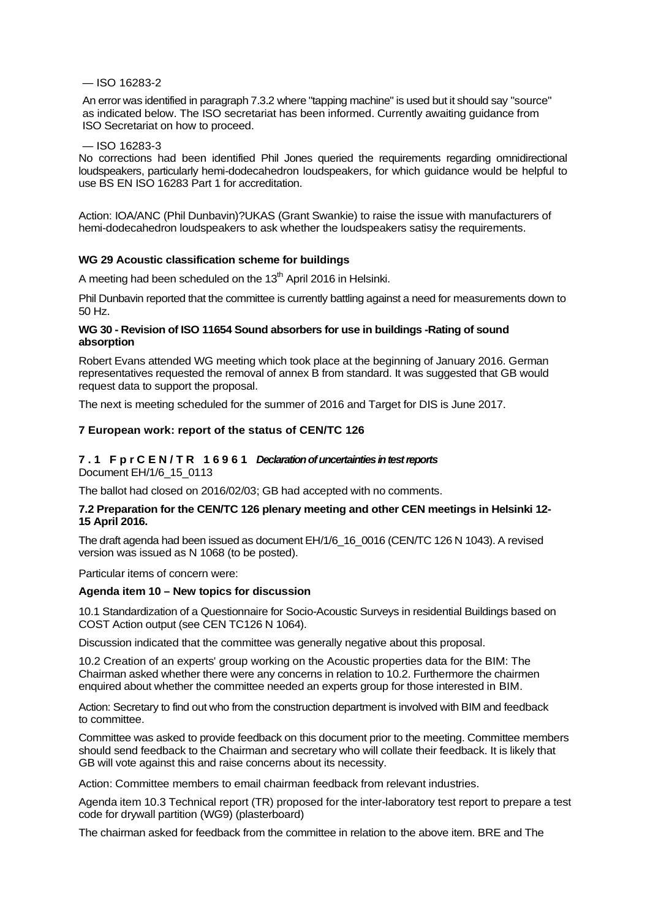#### — ISO 16283-2

An error was identified in paragraph 7.3.2 where "tapping machine" is used but it should say "source" as indicated below. The ISO secretariat has been informed. Currently awaiting guidance from ISO Secretariat on how to proceed.

#### — ISO 16283-3

No corrections had been identified Phil Jones queried the requirements regarding omnidirectional loudspeakers, particularly hemi-dodecahedron loudspeakers, for which guidance would be helpful to use BS EN ISO 16283 Part 1 for accreditation.

Action: IOA/ANC (Phil Dunbavin)?UKAS (Grant Swankie) to raise the issue with manufacturers of hemi-dodecahedron loudspeakers to ask whether the loudspeakers satisy the requirements.

#### **WG 29 Acoustic classification scheme for buildings**

A meeting had been scheduled on the 13<sup>th</sup> April 2016 in Helsinki.

Phil Dunbavin reported that the committee is currently battling against a need for measurements down to 50 Hz.

## **WG 30 - Revision of ISO 11654 Sound absorbers for use in buildings -Rating of sound absorption**

Robert Evans attended WG meeting which took place at the beginning of January 2016. German representatives requested the removal of annex B from standard. It was suggested that GB would request data to support the proposal.

The next is meeting scheduled for the summer of 2016 and Target for DIS is June 2017.

#### **7 European work: report of the status of CEN/TC 126**

#### **7.1 FprCEN/TR 16961** *Declaration of uncertainties in test reports* Document EH/1/6\_15\_0113

The ballot had closed on 2016/02/03; GB had accepted with no comments.

#### **7.2 Preparation for the CEN/TC 126 plenary meeting and other CEN meetings in Helsinki 12- 15 April 2016.**

The draft agenda had been issued as document EH/1/6\_16\_0016 (CEN/TC 126 N 1043). A revised version was issued as N 1068 (to be posted).

Particular items of concern were:

#### **Agenda item 10 – New topics for discussion**

10.1 Standardization of a Questionnaire for Socio-Acoustic Surveys in residential Buildings based on COST Action output (see CEN TC126 N 1064).

Discussion indicated that the committee was generally negative about this proposal.

10.2 Creation of an experts' group working on the Acoustic properties data for the BIM: The Chairman asked whether there were any concerns in relation to 10.2. Furthermore the chairmen enquired about whether the committee needed an experts group for those interested in BIM.

Action: Secretary to find out who from the construction department is involved with BIM and feedback to committee.

Committee was asked to provide feedback on this document prior to the meeting. Committee members should send feedback to the Chairman and secretary who will collate their feedback. It is likely that GB will vote against this and raise concerns about its necessity.

Action: Committee members to email chairman feedback from relevant industries.

Agenda item 10.3 Technical report (TR) proposed for the inter-laboratory test report to prepare a test code for drywall partition (WG9) (plasterboard)

The chairman asked for feedback from the committee in relation to the above item. BRE and The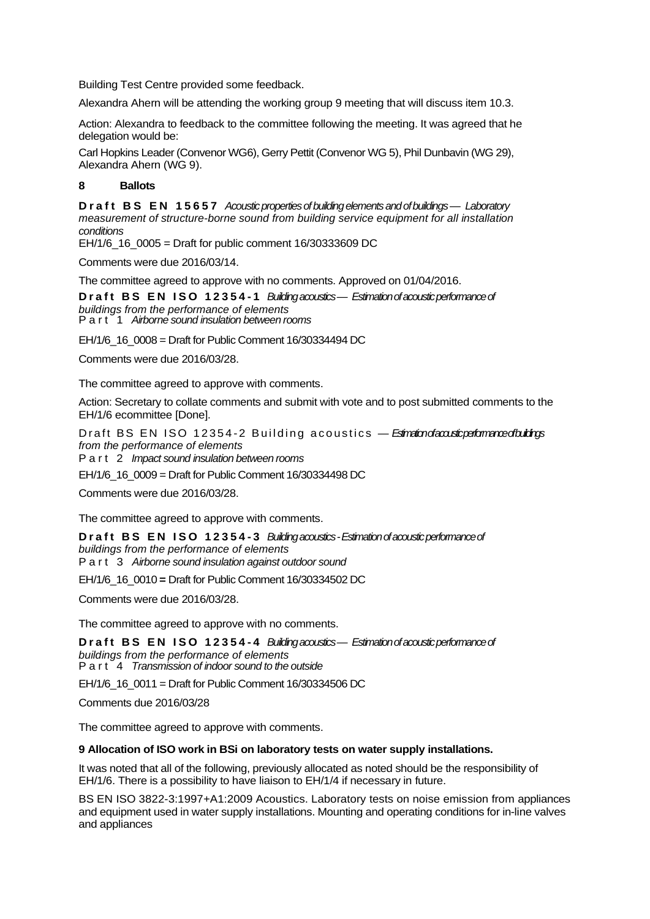Building Test Centre provided some feedback.

Alexandra Ahern will be attending the working group 9 meeting that will discuss item 10.3.

Action: Alexandra to feedback to the committee following the meeting. It was agreed that he delegation would be:

Carl Hopkins Leader (Convenor WG6), Gerry Pettit (Convenor WG 5), Phil Dunbavin (WG 29), Alexandra Ahern (WG 9).

# **8 Ballots**

**Draft BS EN 15657** *Acoustic properties of building elements and of buildings — Laboratory measurement of structure-borne sound from building service equipment for all installation conditions*

EH/1/6\_16\_0005 = Draft for public comment 16/30333609 DC

Comments were due 2016/03/14.

The committee agreed to approve with no comments. Approved on 01/04/2016.

**Draft BS EN ISO 12354 - 1** *Building acoustics — Estimation of acoustic performance of buildings from the performance of elements* Part 1 *Airborne sound insulation between rooms*

EH/1/6\_16\_0008 = Draft for Public Comment 16/30334494 DC

Comments were due 2016/03/28.

The committee agreed to approve with comments.

Action: Secretary to collate comments and submit with vote and to post submitted comments to the EH/1/6 ecommittee [Done].

Draft BS EN ISO 12354-2 Building acoustics — *Estimation diacoustic performance of buildings from the performance of elements*

Part 2 *Impact sound insulation between rooms*

EH/1/6\_16\_0009 = Draft for Public Comment 16/30334498 DC

Comments were due 2016/03/28.

The committee agreed to approve with comments.

**Draft BS EN ISO 12354 - 3** *Building acoustics -Estimation of acoustic performance of buildings from the performance of elements* Part 3 *Airborne sound insulation against outdoor sound*

EH/1/6\_16\_0010 **=** Draft for Public Comment 16/30334502 DC

Comments were due 2016/03/28.

The committee agreed to approve with no comments.

**Draft BS EN ISO 12354 - 4** *Building acoustics — Estimation of acoustic performance of* 

*buildings from the performance of elements* Part 4 *Transmission of indoor sound to the outside*

EH/1/6\_16\_0011 = Draft for Public Comment 16/30334506 DC

Comments due 2016/03/28

The committee agreed to approve with comments.

#### **9 Allocation of ISO work in BSi on laboratory tests on water supply installations.**

It was noted that all of the following, previously allocated as noted should be the responsibility of EH/1/6. There is a possibility to have liaison to EH/1/4 if necessary in future.

BS EN ISO 3822-3:1997+A1:2009 Acoustics. Laboratory tests on noise emission from appliances and equipment used in water supply installations. Mounting and operating conditions for in-line valves and appliances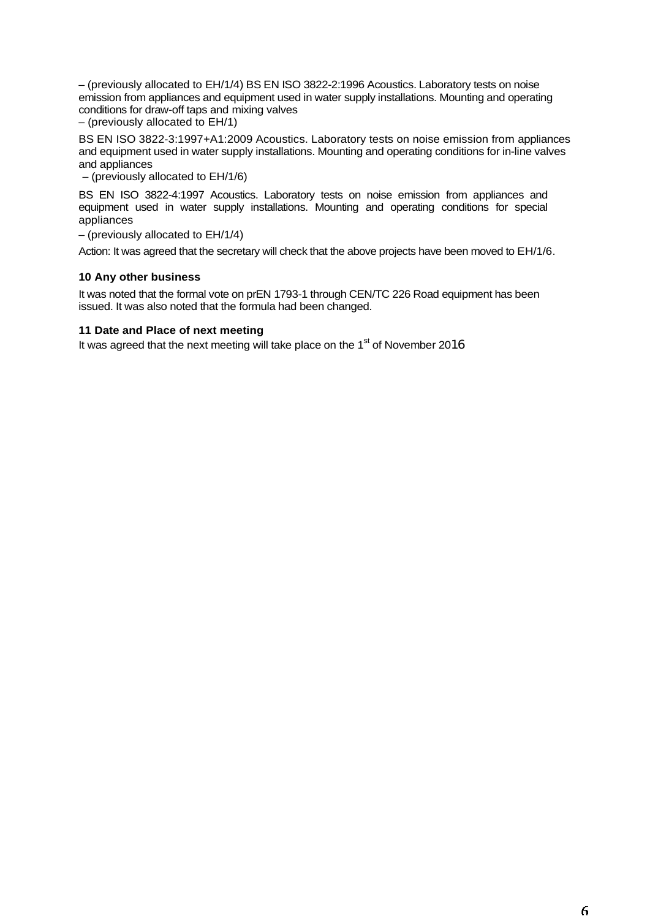– (previously allocated to EH/1/4) BS EN ISO 3822-2:1996 Acoustics. Laboratory tests on noise emission from appliances and equipment used in water supply installations. Mounting and operating conditions for draw-off taps and mixing valves

– (previously allocated to EH/1)

BS EN ISO 3822-3:1997+A1:2009 Acoustics. Laboratory tests on noise emission from appliances and equipment used in water supply installations. Mounting and operating conditions for in-line valves and appliances

– (previously allocated to EH/1/6)

BS EN ISO 3822-4:1997 Acoustics. Laboratory tests on noise emission from appliances and equipment used in water supply installations. Mounting and operating conditions for special appliances

– (previously allocated to EH/1/4)

Action: It was agreed that the secretary will check that the above projects have been moved to EH/1/6.

# **10 Any other business**

It was noted that the formal vote on prEN 1793-1 through CEN/TC 226 Road equipment has been issued. It was also noted that the formula had been changed.

# **11 Date and Place of next meeting**

It was agreed that the next meeting will take place on the  $1<sup>st</sup>$  of November 2016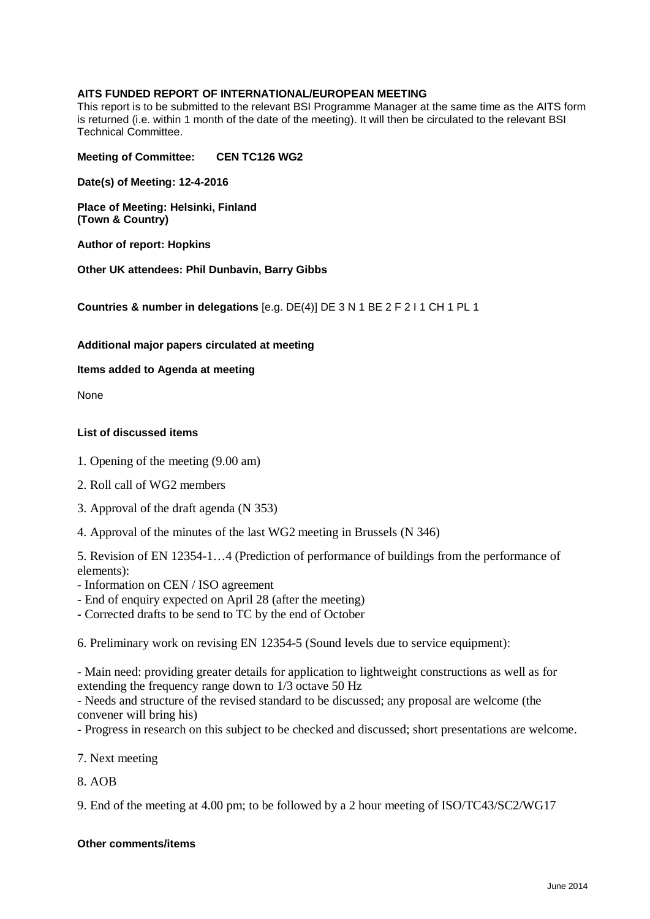# **AITS FUNDED REPORT OF INTERNATIONAL/EUROPEAN MEETING**

This report is to be submitted to the relevant BSI Programme Manager at the same time as the AITS form is returned (i.e. within 1 month of the date of the meeting). It will then be circulated to the relevant BSI Technical Committee.

**Meeting of Committee: CEN TC126 WG2**

**Date(s) of Meeting: 12-4-2016**

**Place of Meeting: Helsinki, Finland (Town & Country)**

**Author of report: Hopkins**

**Other UK attendees: Phil Dunbavin, Barry Gibbs**

**Countries & number in delegations** [e.g. DE(4)] DE 3 N 1 BE 2 F 2 I 1 CH 1 PL 1

**Additional major papers circulated at meeting**

**Items added to Agenda at meeting**

None

## **List of discussed items**

- 1. Opening of the meeting (9.00 am)
- 2. Roll call of WG2 members
- 3. Approval of the draft agenda (N 353)
- 4. Approval of the minutes of the last WG2 meeting in Brussels (N 346)

5. Revision of EN 12354-1…4 (Prediction of performance of buildings from the performance of elements):

- Information on CEN / ISO agreement
- End of enquiry expected on April 28 (after the meeting)
- Corrected drafts to be send to TC by the end of October

6. Preliminary work on revising EN 12354-5 (Sound levels due to service equipment):

- Main need: providing greater details for application to lightweight constructions as well as for extending the frequency range down to 1/3 octave 50 Hz

- Needs and structure of the revised standard to be discussed; any proposal are welcome (the convener will bring his)

- Progress in research on this subject to be checked and discussed; short presentations are welcome.

7. Next meeting

8. AOB

9. End of the meeting at 4.00 pm; to be followed by a 2 hour meeting of ISO/TC43/SC2/WG17

## **Other comments/items**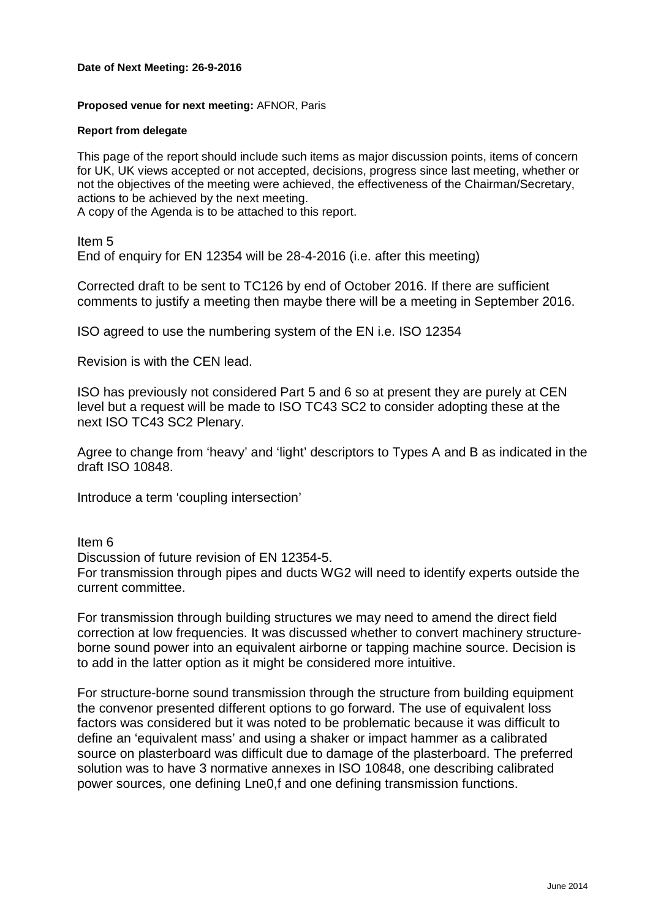## **Date of Next Meeting: 26-9-2016**

## **Proposed venue for next meeting:** AFNOR, Paris

#### **Report from delegate**

This page of the report should include such items as major discussion points, items of concern for UK, UK views accepted or not accepted, decisions, progress since last meeting, whether or not the objectives of the meeting were achieved, the effectiveness of the Chairman/Secretary, actions to be achieved by the next meeting.

A copy of the Agenda is to be attached to this report.

Item 5 End of enquiry for EN 12354 will be 28-4-2016 (i.e. after this meeting)

Corrected draft to be sent to TC126 by end of October 2016. If there are sufficient comments to justify a meeting then maybe there will be a meeting in September 2016.

ISO agreed to use the numbering system of the EN i.e. ISO 12354

Revision is with the CEN lead.

ISO has previously not considered Part 5 and 6 so at present they are purely at CEN level but a request will be made to ISO TC43 SC2 to consider adopting these at the next ISO TC43 SC2 Plenary.

Agree to change from 'heavy' and 'light' descriptors to Types A and B as indicated in the draft ISO 10848.

Introduce a term 'coupling intersection'

Item 6

Discussion of future revision of EN 12354-5. For transmission through pipes and ducts WG2 will need to identify experts outside the current committee.

For transmission through building structures we may need to amend the direct field correction at low frequencies. It was discussed whether to convert machinery structureborne sound power into an equivalent airborne or tapping machine source. Decision is to add in the latter option as it might be considered more intuitive.

For structure-borne sound transmission through the structure from building equipment the convenor presented different options to go forward. The use of equivalent loss factors was considered but it was noted to be problematic because it was difficult to define an 'equivalent mass' and using a shaker or impact hammer as a calibrated source on plasterboard was difficult due to damage of the plasterboard. The preferred solution was to have 3 normative annexes in ISO 10848, one describing calibrated power sources, one defining Lne0,f and one defining transmission functions.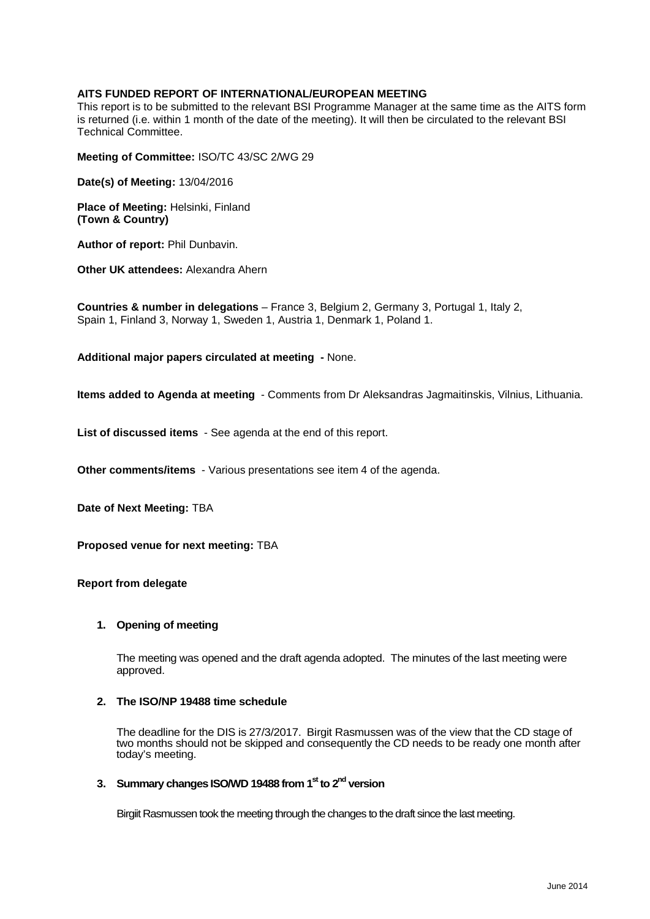## **AITS FUNDED REPORT OF INTERNATIONAL/EUROPEAN MEETING**

This report is to be submitted to the relevant BSI Programme Manager at the same time as the AITS form is returned (i.e. within 1 month of the date of the meeting). It will then be circulated to the relevant BSI Technical Committee.

**Meeting of Committee:** ISO/TC 43/SC 2/WG 29

**Date(s) of Meeting:** 13/04/2016

**Place of Meeting:** Helsinki, Finland **(Town & Country)**

**Author of report:** Phil Dunbavin.

**Other UK attendees:** Alexandra Ahern

**Countries & number in delegations** – France 3, Belgium 2, Germany 3, Portugal 1, Italy 2, Spain 1, Finland 3, Norway 1, Sweden 1, Austria 1, Denmark 1, Poland 1.

**Additional major papers circulated at meeting -** None.

**Items added to Agenda at meeting** - Comments from Dr Aleksandras Jagmaitinskis, Vilnius, Lithuania.

**List of discussed items** - See agenda at the end of this report.

**Other comments/items** - Various presentations see item 4 of the agenda.

**Date of Next Meeting:** TBA

**Proposed venue for next meeting:** TBA

#### **Report from delegate**

#### **1. Opening of meeting**

The meeting was opened and the draft agenda adopted. The minutes of the last meeting were approved.

#### **2. The ISO/NP 19488 time schedule**

The deadline for the DIS is 27/3/2017. Birgit Rasmussen was of the view that the CD stage of two months should not be skipped and consequently the CD needs to be ready one month after today's meeting.

# **3. Summary changes ISO/WD 19488 from 1st to 2nd version**

Birgiit Rasmussen took the meeting through the changes to the draft since the last meeting.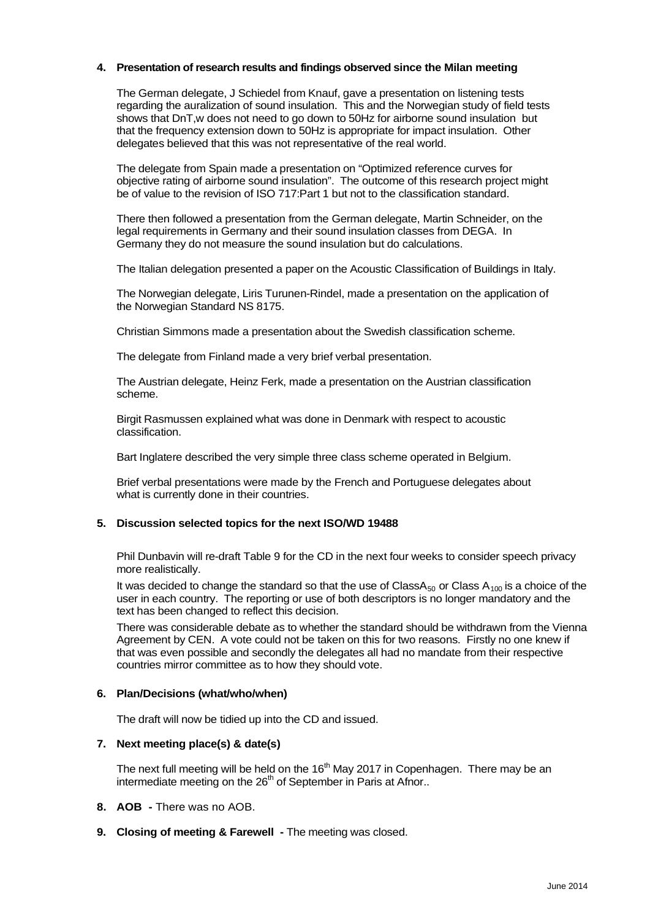## **4. Presentation of research results and findings observed since the Milan meeting**

The German delegate, J Schiedel from Knauf, gave a presentation on listening tests regarding the auralization of sound insulation. This and the Norwegian study of field tests shows that DnT,w does not need to go down to 50Hz for airborne sound insulation but that the frequency extension down to 50Hz is appropriate for impact insulation. Other delegates believed that this was not representative of the real world.

The delegate from Spain made a presentation on "Optimized reference curves for objective rating of airborne sound insulation". The outcome of this research project might be of value to the revision of ISO 717:Part 1 but not to the classification standard.

There then followed a presentation from the German delegate, Martin Schneider, on the legal requirements in Germany and their sound insulation classes from DEGA. In Germany they do not measure the sound insulation but do calculations.

The Italian delegation presented a paper on the Acoustic Classification of Buildings in Italy.

The Norwegian delegate, Liris Turunen-Rindel, made a presentation on the application of the Norwegian Standard NS 8175.

Christian Simmons made a presentation about the Swedish classification scheme.

The delegate from Finland made a very brief verbal presentation.

The Austrian delegate, Heinz Ferk, made a presentation on the Austrian classification scheme.

Birgit Rasmussen explained what was done in Denmark with respect to acoustic classification.

Bart Inglatere described the very simple three class scheme operated in Belgium.

Brief verbal presentations were made by the French and Portuguese delegates about what is currently done in their countries.

#### **5. Discussion selected topics for the next ISO/WD 19488**

Phil Dunbavin will re-draft Table 9 for the CD in the next four weeks to consider speech privacy more realistically.

It was decided to change the standard so that the use of Class $A_{50}$  or Class  $A_{100}$  is a choice of the user in each country. The reporting or use of both descriptors is no longer mandatory and the text has been changed to reflect this decision.

There was considerable debate as to whether the standard should be withdrawn from the Vienna Agreement by CEN. A vote could not be taken on this for two reasons. Firstly no one knew if that was even possible and secondly the delegates all had no mandate from their respective countries mirror committee as to how they should vote.

#### **6. Plan/Decisions (what/who/when)**

The draft will now be tidied up into the CD and issued.

#### **7. Next meeting place(s) & date(s)**

The next full meeting will be held on the  $16<sup>th</sup>$  May 2017 in Copenhagen. There may be an intermediate meeting on the 26<sup>th</sup> of September in Paris at Afnor..

- **8. AOB -** There was no AOB.
- **9. Closing of meeting & Farewell -** The meeting was closed.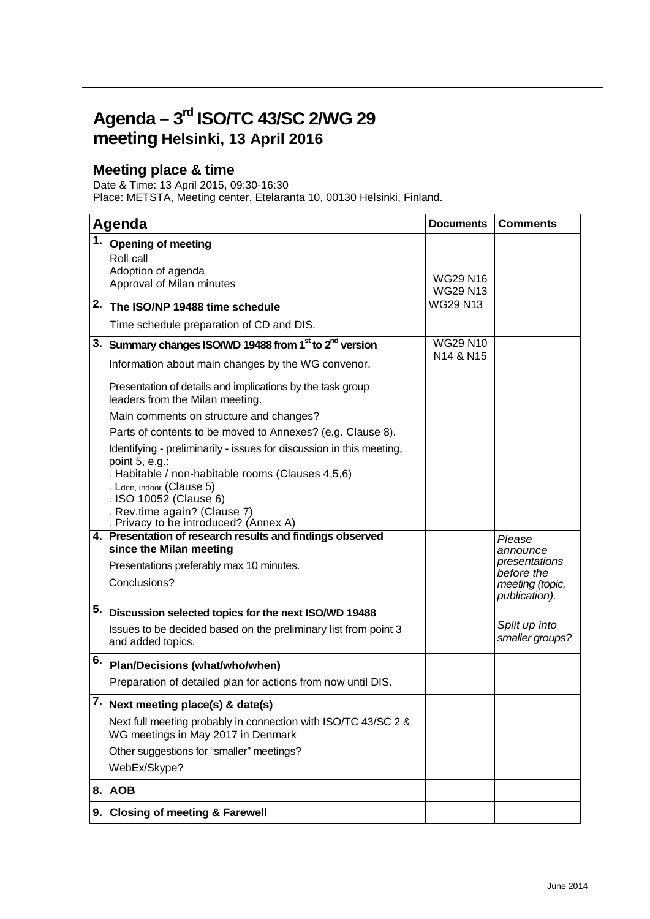# **Agenda – 3rd ISO/TC 43/SC 2/WG 29 meeting Helsinki, 13 April 2016**

# **Meeting place & time**

Date & Time: 13 April 2015, 09:30-16:30

Place: METSTA, Meeting center, Eteläranta 10, 00130 Helsinki, Finland.

| Agenda           |                                                                                                                                                                                                                                                                         | <b>Documents</b>                   | <b>Comments</b>                                                             |
|------------------|-------------------------------------------------------------------------------------------------------------------------------------------------------------------------------------------------------------------------------------------------------------------------|------------------------------------|-----------------------------------------------------------------------------|
| 1.1              | <b>Opening of meeting</b><br>Roll call<br>Adoption of agenda<br>Approval of Milan minutes                                                                                                                                                                               | <b>WG29 N16</b><br><b>WG29 N13</b> |                                                                             |
| 2.1              | The ISO/NP 19488 time schedule                                                                                                                                                                                                                                          | <b>WG29 N13</b>                    |                                                                             |
|                  | Time schedule preparation of CD and DIS.                                                                                                                                                                                                                                |                                    |                                                                             |
|                  | 3. Summary changes ISO/WD 19488 from 1 <sup>st</sup> to 2 <sup>nd</sup> version                                                                                                                                                                                         | <b>WG29 N10</b>                    |                                                                             |
|                  | Information about main changes by the WG convenor.                                                                                                                                                                                                                      | N <sub>14</sub> & N <sub>15</sub>  |                                                                             |
|                  | Presentation of details and implications by the task group<br>leaders from the Milan meeting.                                                                                                                                                                           |                                    |                                                                             |
|                  | Main comments on structure and changes?                                                                                                                                                                                                                                 |                                    |                                                                             |
|                  | Parts of contents to be moved to Annexes? (e.g. Clause 8).                                                                                                                                                                                                              |                                    |                                                                             |
|                  | Identifying - preliminarily - issues for discussion in this meeting,<br>point 5, e.g.:<br>- Habitable / non-habitable rooms (Clauses 4,5,6)<br>- Lden, indoor (Clause 5)<br>ISO 10052 (Clause 6)<br>Rev.time again? (Clause 7)<br>- Privacy to be introduced? (Annex A) |                                    |                                                                             |
|                  | 4. Presentation of research results and findings observed<br>since the Milan meeting                                                                                                                                                                                    |                                    | Please                                                                      |
|                  | Presentations preferably max 10 minutes.<br>Conclusions?                                                                                                                                                                                                                |                                    | announce<br>presentations<br>before the<br>meeting (topic,<br>publication). |
| 5.               | Discussion selected topics for the next ISO/WD 19488                                                                                                                                                                                                                    |                                    |                                                                             |
|                  | Issues to be decided based on the preliminary list from point 3<br>and added topics.                                                                                                                                                                                    |                                    | Split up into<br>smaller groups?                                            |
| 6.               | Plan/Decisions (what/who/when)                                                                                                                                                                                                                                          |                                    |                                                                             |
|                  | Preparation of detailed plan for actions from now until DIS.                                                                                                                                                                                                            |                                    |                                                                             |
| $\overline{7}$ . | Next meeting place(s) & date(s)                                                                                                                                                                                                                                         |                                    |                                                                             |
|                  | Next full meeting probably in connection with ISO/TC 43/SC 2 &<br>WG meetings in May 2017 in Denmark                                                                                                                                                                    |                                    |                                                                             |
|                  | Other suggestions for "smaller" meetings?                                                                                                                                                                                                                               |                                    |                                                                             |
|                  | WebEx/Skype?                                                                                                                                                                                                                                                            |                                    |                                                                             |
|                  | 8. AOB                                                                                                                                                                                                                                                                  |                                    |                                                                             |
| 9.               | <b>Closing of meeting &amp; Farewell</b>                                                                                                                                                                                                                                |                                    |                                                                             |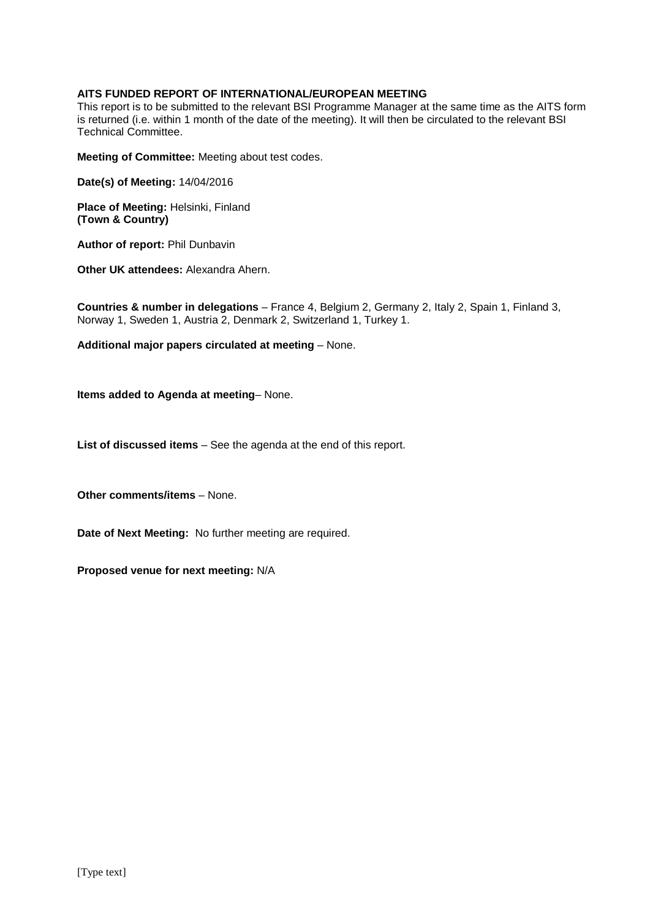## **AITS FUNDED REPORT OF INTERNATIONAL/EUROPEAN MEETING**

This report is to be submitted to the relevant BSI Programme Manager at the same time as the AITS form is returned (i.e. within 1 month of the date of the meeting). It will then be circulated to the relevant BSI Technical Committee.

**Meeting of Committee:** Meeting about test codes.

**Date(s) of Meeting:** 14/04/2016

**Place of Meeting:** Helsinki, Finland **(Town & Country)**

**Author of report:** Phil Dunbavin

**Other UK attendees:** Alexandra Ahern.

**Countries & number in delegations** – France 4, Belgium 2, Germany 2, Italy 2, Spain 1, Finland 3, Norway 1, Sweden 1, Austria 2, Denmark 2, Switzerland 1, Turkey 1.

**Additional major papers circulated at meeting** – None.

**Items added to Agenda at meeting**– None.

**List of discussed items** – See the agenda at the end of this report.

**Other comments/items** – None.

**Date of Next Meeting:** No further meeting are required.

**Proposed venue for next meeting:** N/A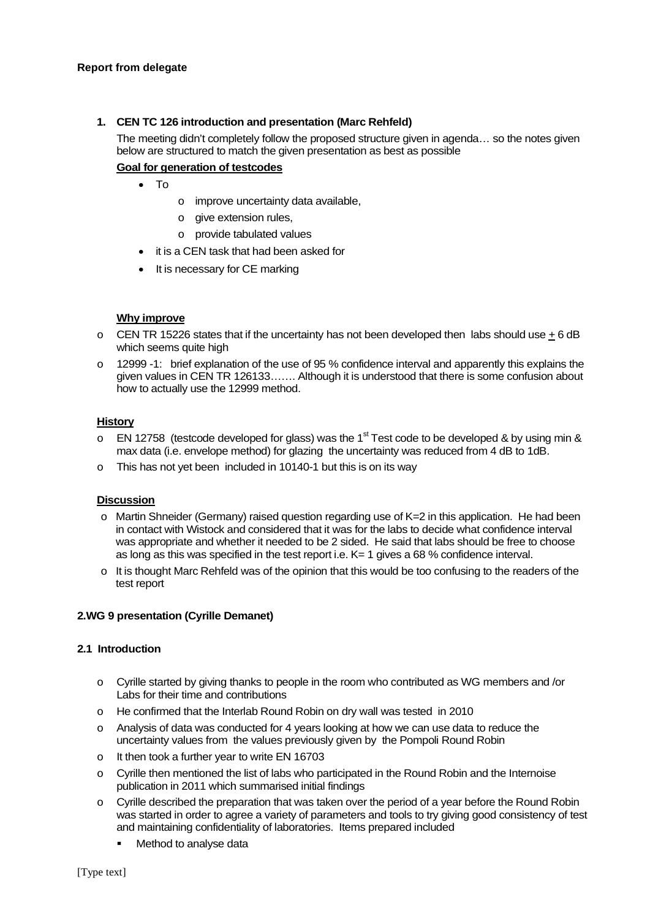## **1. CEN TC 126 introduction and presentation (Marc Rehfeld)**

The meeting didn't completely follow the proposed structure given in agenda… so the notes given below are structured to match the given presentation as best as possible

# **Goal for generation of testcodes**

- To
- o improve uncertainty data available,
- o give extension rules,
- o provide tabulated values
- it is a CEN task that had been asked for
- It is necessary for CE marking

## **Why improve**

- $\circ$  CEN TR 15226 states that if the uncertainty has not been developed then labs should use  $\pm$  6 dB which seems quite high
- o 12999 -1: brief explanation of the use of 95 % confidence interval and apparently this explains the given values in CEN TR 126133……. Although it is understood that there is some confusion about how to actually use the 12999 method.

#### **History**

- $\circ$  EN 12758 (testcode developed for glass) was the 1<sup>st</sup> Test code to be developed & by using min & max data (i.e. envelope method) for glazing the uncertainty was reduced from 4 dB to 1dB.
- o This has not yet been included in 10140-1 but this is on its way

#### **Discussion**

- $\circ$  Martin Shneider (Germany) raised question regarding use of K=2 in this application. He had been in contact with Wistock and considered that it was for the labs to decide what confidence interval was appropriate and whether it needed to be 2 sided. He said that labs should be free to choose as long as this was specified in the test report i.e. K= 1 gives a 68 % confidence interval.
- $\circ$  It is thought Marc Rehfeld was of the opinion that this would be too confusing to the readers of the test report

# **2.WG 9 presentation (Cyrille Demanet)**

#### **2.1 Introduction**

- o Cyrille started by giving thanks to people in the room who contributed as WG members and /or Labs for their time and contributions
- o He confirmed that the Interlab Round Robin on dry wall was tested in 2010
- o Analysis of data was conducted for 4 years looking at how we can use data to reduce the uncertainty values from the values previously given by the Pompoli Round Robin
- o It then took a further year to write EN 16703
- o Cyrille then mentioned the list of labs who participated in the Round Robin and the Internoise publication in 2011 which summarised initial findings
- $\circ$  Cyrille described the preparation that was taken over the period of a year before the Round Robin was started in order to agree a variety of parameters and tools to try giving good consistency of test and maintaining confidentiality of laboratories. Items prepared included
	- Method to analyse data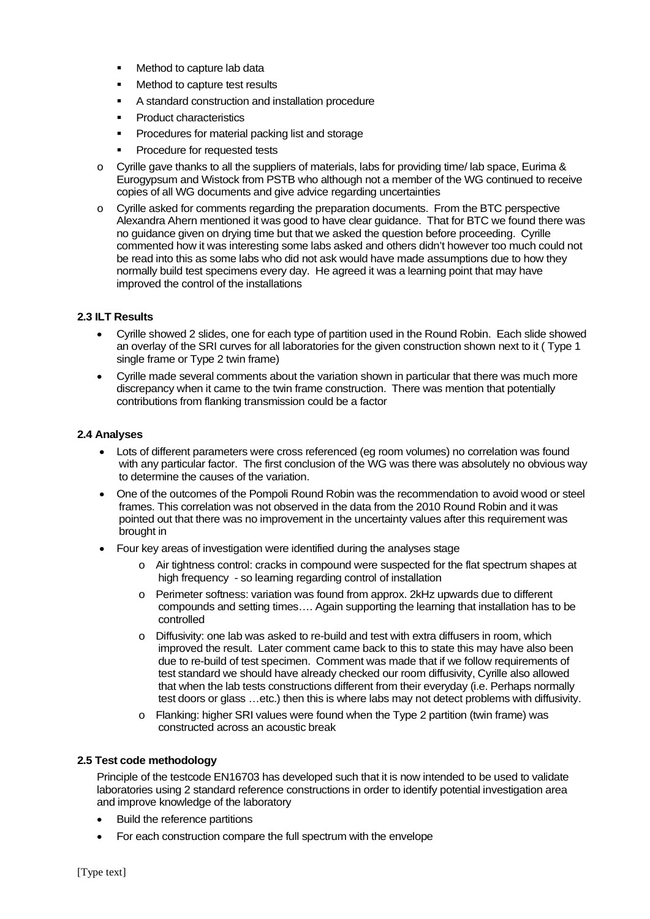- Method to capture lab data
- Method to capture test results
- A standard construction and installation procedure
- **Product characteristics**
- Procedures for material packing list and storage
- Procedure for requested tests
- $\circ$  Cyrille gave thanks to all the suppliers of materials, labs for providing time/ lab space, Eurima & Eurogypsum and Wistock from PSTB who although not a member of the WG continued to receive copies of all WG documents and give advice regarding uncertainties
- o Cyrille asked for comments regarding the preparation documents. From the BTC perspective Alexandra Ahern mentioned it was good to have clear guidance. That for BTC we found there was no guidance given on drying time but that we asked the question before proceeding. Cyrille commented how it was interesting some labs asked and others didn't however too much could not be read into this as some labs who did not ask would have made assumptions due to how they normally build test specimens every day. He agreed it was a learning point that may have improved the control of the installations

## **2.3 ILT Results**

- Cyrille showed 2 slides, one for each type of partition used in the Round Robin. Each slide showed an overlay of the SRI curves for all laboratories for the given construction shown next to it ( Type 1 single frame or Type 2 twin frame)
- Cyrille made several comments about the variation shown in particular that there was much more discrepancy when it came to the twin frame construction. There was mention that potentially contributions from flanking transmission could be a factor

#### **2.4 Analyses**

- Lots of different parameters were cross referenced (eg room volumes) no correlation was found with any particular factor. The first conclusion of the WG was there was absolutely no obvious way to determine the causes of the variation.
- One of the outcomes of the Pompoli Round Robin was the recommendation to avoid wood or steel frames. This correlation was not observed in the data from the 2010 Round Robin and it was pointed out that there was no improvement in the uncertainty values after this requirement was brought in
- Four key areas of investigation were identified during the analyses stage
	- o Air tightness control: cracks in compound were suspected for the flat spectrum shapes at high frequency - so learning regarding control of installation
	- o Perimeter softness: variation was found from approx. 2kHz upwards due to different compounds and setting times…. Again supporting the learning that installation has to be controlled
	- o Diffusivity: one lab was asked to re-build and test with extra diffusers in room, which improved the result. Later comment came back to this to state this may have also been due to re-build of test specimen. Comment was made that if we follow requirements of test standard we should have already checked our room diffusivity, Cyrille also allowed that when the lab tests constructions different from their everyday (i.e. Perhaps normally test doors or glass …etc.) then this is where labs may not detect problems with diffusivity.
	- o Flanking: higher SRI values were found when the Type 2 partition (twin frame) was constructed across an acoustic break

# **2.5 Test code methodology**

Principle of the testcode EN16703 has developed such that it is now intended to be used to validate laboratories using 2 standard reference constructions in order to identify potential investigation area and improve knowledge of the laboratory

- Build the reference partitions
- For each construction compare the full spectrum with the envelope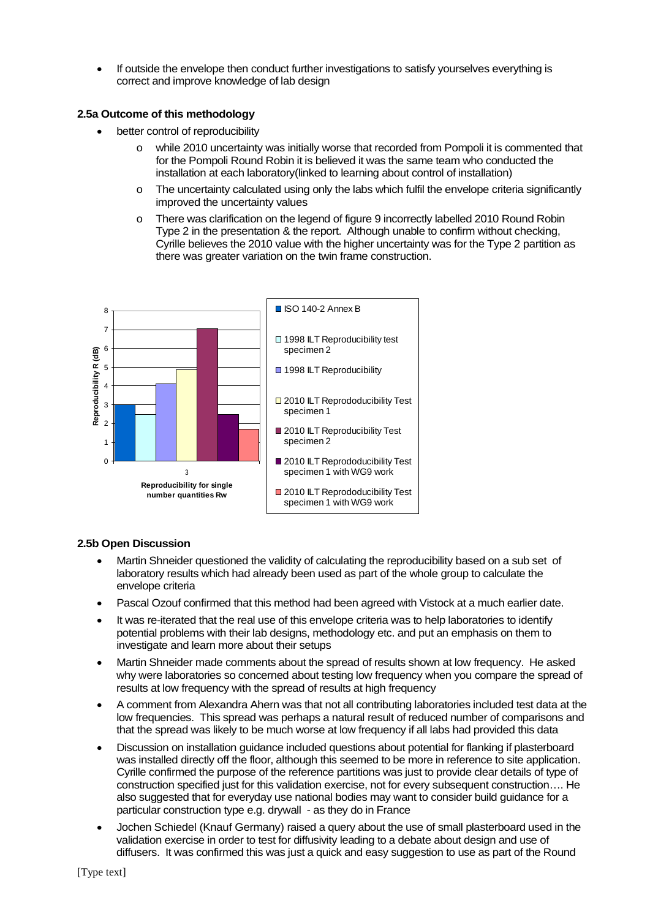• If outside the envelope then conduct further investigations to satisfy yourselves everything is correct and improve knowledge of lab design

## **2.5a Outcome of this methodology**

- better control of reproducibility
	- o while 2010 uncertainty was initially worse that recorded from Pompoli it is commented that for the Pompoli Round Robin it is believed it was the same team who conducted the installation at each laboratory(linked to learning about control of installation)
	- $\circ$  The uncertainty calculated using only the labs which fulfil the envelope criteria significantly improved the uncertainty values
	- o There was clarification on the legend of figure 9 incorrectly labelled 2010 Round Robin Type 2 in the presentation & the report. Although unable to confirm without checking, Cyrille believes the 2010 value with the higher uncertainty was for the Type 2 partition as there was greater variation on the twin frame construction.



# **2.5b Open Discussion**

- Martin Shneider questioned the validity of calculating the reproducibility based on a sub set of laboratory results which had already been used as part of the whole group to calculate the envelope criteria
- Pascal Ozouf confirmed that this method had been agreed with Vistock at a much earlier date.
- It was re-iterated that the real use of this envelope criteria was to help laboratories to identify potential problems with their lab designs, methodology etc. and put an emphasis on them to investigate and learn more about their setups
- Martin Shneider made comments about the spread of results shown at low frequency. He asked why were laboratories so concerned about testing low frequency when you compare the spread of results at low frequency with the spread of results at high frequency
- A comment from Alexandra Ahern was that not all contributing laboratories included test data at the low frequencies. This spread was perhaps a natural result of reduced number of comparisons and that the spread was likely to be much worse at low frequency if all labs had provided this data
- Discussion on installation guidance included questions about potential for flanking if plasterboard was installed directly off the floor, although this seemed to be more in reference to site application. Cyrille confirmed the purpose of the reference partitions was just to provide clear details of type of construction specified just for this validation exercise, not for every subsequent construction…. He also suggested that for everyday use national bodies may want to consider build guidance for a particular construction type e.g. drywall - as they do in France
- Jochen Schiedel (Knauf Germany) raised a query about the use of small plasterboard used in the validation exercise in order to test for diffusivity leading to a debate about design and use of diffusers. It was confirmed this was just a quick and easy suggestion to use as part of the Round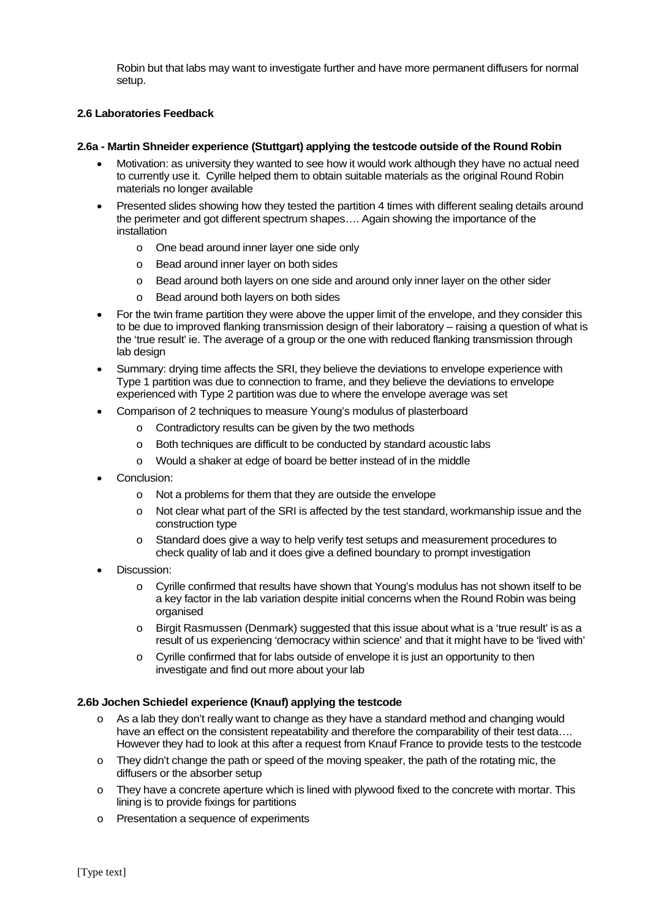Robin but that labs may want to investigate further and have more permanent diffusers for normal setup.

# **2.6 Laboratories Feedback**

## **2.6a - Martin Shneider experience (Stuttgart) applying the testcode outside of the Round Robin**

- Motivation: as university they wanted to see how it would work although they have no actual need to currently use it. Cyrille helped them to obtain suitable materials as the original Round Robin materials no longer available
- Presented slides showing how they tested the partition 4 times with different sealing details around the perimeter and got different spectrum shapes…. Again showing the importance of the installation
	- o One bead around inner layer one side only
	- o Bead around inner layer on both sides
	- o Bead around both layers on one side and around only inner layer on the other sider
	- o Bead around both layers on both sides
- For the twin frame partition they were above the upper limit of the envelope, and they consider this to be due to improved flanking transmission design of their laboratory – raising a question of what is the 'true result' ie. The average of a group or the one with reduced flanking transmission through lab design
- Summary: drying time affects the SRI, they believe the deviations to envelope experience with Type 1 partition was due to connection to frame, and they believe the deviations to envelope experienced with Type 2 partition was due to where the envelope average was set
- Comparison of 2 techniques to measure Young's modulus of plasterboard
	- o Contradictory results can be given by the two methods
	- o Both techniques are difficult to be conducted by standard acoustic labs
	- o Would a shaker at edge of board be better instead of in the middle
- Conclusion:
	- o Not a problems for them that they are outside the envelope
	- o Not clear what part of the SRI is affected by the test standard, workmanship issue and the construction type
	- o Standard does give a way to help verify test setups and measurement procedures to check quality of lab and it does give a defined boundary to prompt investigation
- Discussion:
	- o Cyrille confirmed that results have shown that Young's modulus has not shown itself to be a key factor in the lab variation despite initial concerns when the Round Robin was being organised
	- $\circ$  Birgit Rasmussen (Denmark) suggested that this issue about what is a 'true result' is as a result of us experiencing 'democracy within science' and that it might have to be 'lived with'
	- o Cyrille confirmed that for labs outside of envelope it is just an opportunity to then investigate and find out more about your lab

#### **2.6b Jochen Schiedel experience (Knauf) applying the testcode**

- $\circ$  As a lab they don't really want to change as they have a standard method and changing would have an effect on the consistent repeatability and therefore the comparability of their test data.... However they had to look at this after a request from Knauf France to provide tests to the testcode
- $\circ$  They didn't change the path or speed of the moving speaker, the path of the rotating mic, the diffusers or the absorber setup
- $\circ$  They have a concrete aperture which is lined with plywood fixed to the concrete with mortar. This lining is to provide fixings for partitions
- o Presentation a sequence of experiments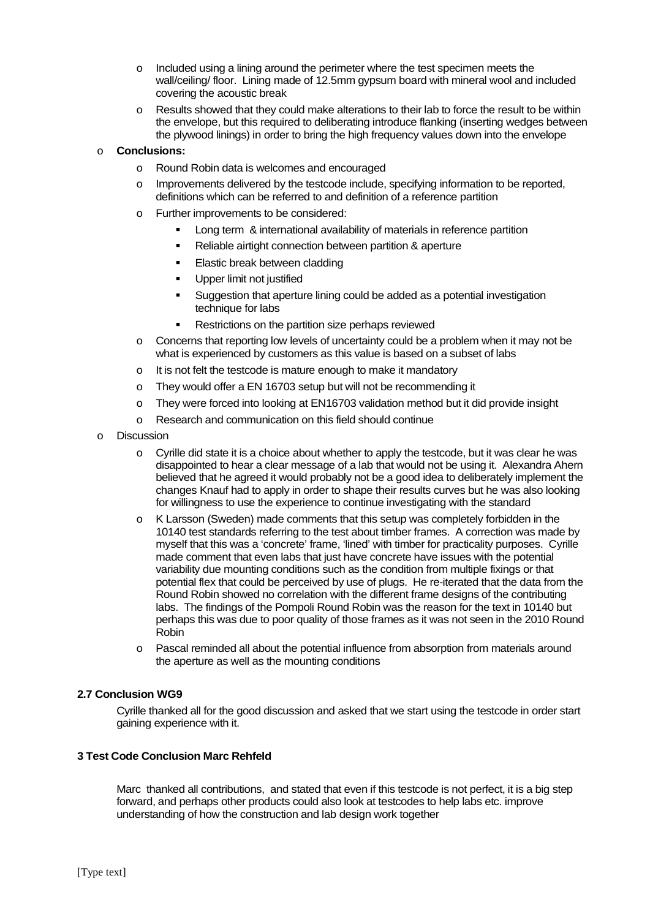- $\circ$  Included using a lining around the perimeter where the test specimen meets the wall/ceiling/ floor. Lining made of 12.5mm gypsum board with mineral wool and included covering the acoustic break
- $\circ$  Results showed that they could make alterations to their lab to force the result to be within the envelope, but this required to deliberating introduce flanking (inserting wedges between the plywood linings) in order to bring the high frequency values down into the envelope

## o **Conclusions:**

- o Round Robin data is welcomes and encouraged
- o Improvements delivered by the testcode include, specifying information to be reported, definitions which can be referred to and definition of a reference partition
- o Further improvements to be considered:
	- **Long term & international availability of materials in reference partition**
	- Reliable airtight connection between partition & aperture
	- **Elastic break between cladding**
	- Upper limit not justified
	- Suggestion that aperture lining could be added as a potential investigation technique for labs
	- **Restrictions on the partition size perhaps reviewed**
- o Concerns that reporting low levels of uncertainty could be a problem when it may not be what is experienced by customers as this value is based on a subset of labs
- $\circ$  It is not felt the testcode is mature enough to make it mandatory
- o They would offer a EN 16703 setup but will not be recommending it
- o They were forced into looking at EN16703 validation method but it did provide insight
- o Research and communication on this field should continue
- o Discussion
	- $\circ$  Cyrille did state it is a choice about whether to apply the testcode, but it was clear he was disappointed to hear a clear message of a lab that would not be using it. Alexandra Ahern believed that he agreed it would probably not be a good idea to deliberately implement the changes Knauf had to apply in order to shape their results curves but he was also looking for willingness to use the experience to continue investigating with the standard
	- o K Larsson (Sweden) made comments that this setup was completely forbidden in the 10140 test standards referring to the test about timber frames. A correction was made by myself that this was a 'concrete' frame, 'lined' with timber for practicality purposes. Cyrille made comment that even labs that just have concrete have issues with the potential variability due mounting conditions such as the condition from multiple fixings or that potential flex that could be perceived by use of plugs. He re-iterated that the data from the Round Robin showed no correlation with the different frame designs of the contributing labs. The findings of the Pompoli Round Robin was the reason for the text in 10140 but perhaps this was due to poor quality of those frames as it was not seen in the 2010 Round Robin
	- o Pascal reminded all about the potential influence from absorption from materials around the aperture as well as the mounting conditions

## **2.7 Conclusion WG9**

Cyrille thanked all for the good discussion and asked that we start using the testcode in order start gaining experience with it.

#### **3 Test Code Conclusion Marc Rehfeld**

Marc thanked all contributions, and stated that even if this testcode is not perfect, it is a big step forward, and perhaps other products could also look at testcodes to help labs etc. improve understanding of how the construction and lab design work together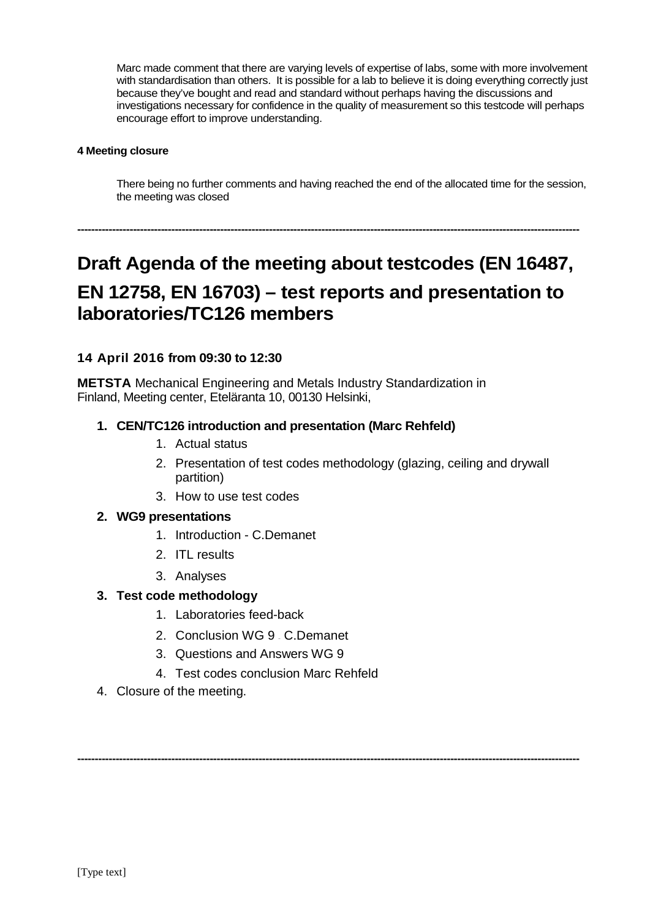Marc made comment that there are varying levels of expertise of labs, some with more involvement with standardisation than others. It is possible for a lab to believe it is doing everything correctly just because they've bought and read and standard without perhaps having the discussions and investigations necessary for confidence in the quality of measurement so this testcode will perhaps encourage effort to improve understanding.

# **4 Meeting closure**

There being no further comments and having reached the end of the allocated time for the session, the meeting was closed

# **Draft Agenda of the meeting about testcodes (EN 16487, EN 12758, EN 16703) – test reports and presentation to laboratories/TC126 members**

**------------------------------------------------------------------------------------------------------------------------------------------------**

# **14 April 2016 from 09:30 to 12:30**

**METSTA** Mechanical Engineering and Metals Industry Standardization in Finland, Meeting center, Eteläranta 10, 00130 Helsinki,

# **1. CEN/TC126 introduction and presentation (Marc Rehfeld)**

- 1. Actual status
- 2. Presentation of test codes methodology (glazing, ceiling and drywall partition)
- 3. How to use test codes

# **2. WG9 presentations**

- 1. Introduction C.Demanet
- 2. ITL results
- 3. Analyses

# **3. Test code methodology**

- 1. Laboratories feed-back
- 2. Conclusion WG 9 C.Demanet
- 3. Questions and Answers WG 9
- 4. Test codes conclusion Marc Rehfeld

**------------------------------------------------------------------------------------------------------------------------------------------------**

4. Closure of the meeting.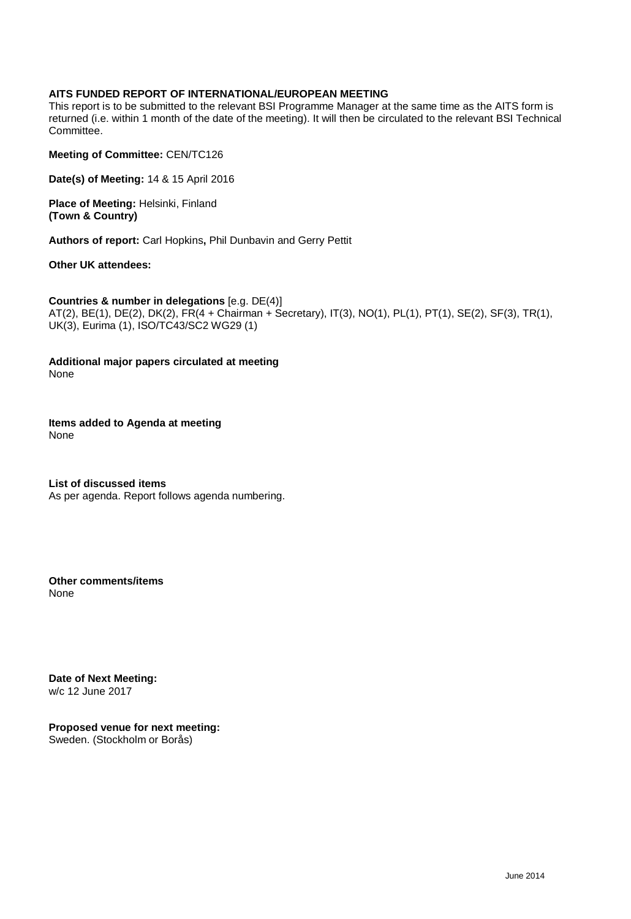# **AITS FUNDED REPORT OF INTERNATIONAL/EUROPEAN MEETING**

This report is to be submitted to the relevant BSI Programme Manager at the same time as the AITS form is returned (i.e. within 1 month of the date of the meeting). It will then be circulated to the relevant BSI Technical Committee.

**Meeting of Committee:** CEN/TC126

**Date(s) of Meeting:** 14 & 15 April 2016

**Place of Meeting:** Helsinki, Finland **(Town & Country)**

**Authors of report:** Carl Hopkins**,** Phil Dunbavin and Gerry Pettit

**Other UK attendees:**

**Countries & number in delegations** [e.g. DE(4)] AT(2), BE(1), DE(2), DK(2), FR(4 + Chairman + Secretary), IT(3), NO(1), PL(1), PT(1), SE(2), SF(3), TR(1), UK(3), Eurima (1), ISO/TC43/SC2 WG29 (1)

**Additional major papers circulated at meeting** None

**Items added to Agenda at meeting** None

**List of discussed items** As per agenda. Report follows agenda numbering.

**Other comments/items** None

**Date of Next Meeting:** w/c 12 June 2017

**Proposed venue for next meeting:** Sweden. (Stockholm or Borås)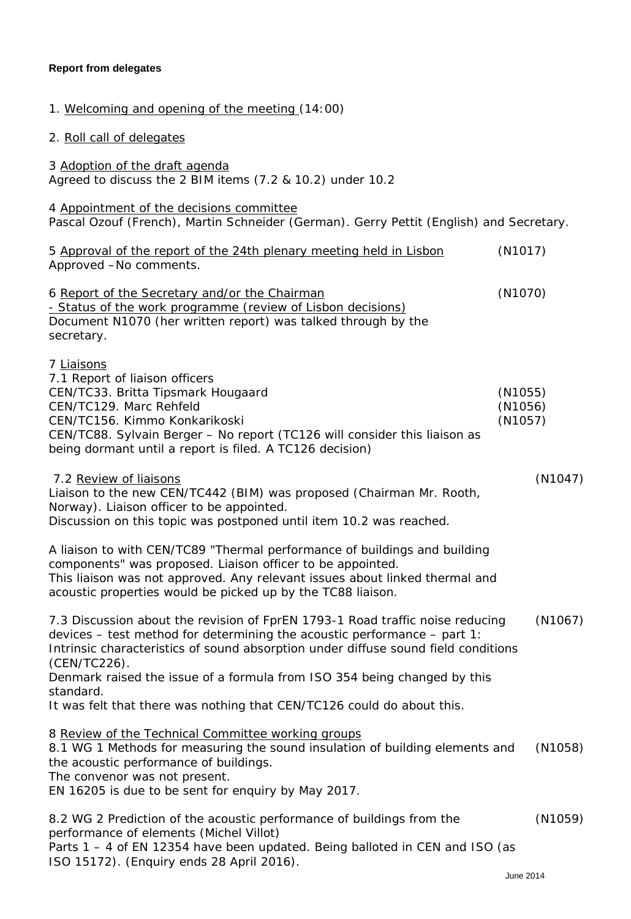# **Report from delegates**

| 1. Welcoming and opening of the meeting (14:00)                                                                                                                                                                                                                                                                                                                     |                               |  |  |  |
|---------------------------------------------------------------------------------------------------------------------------------------------------------------------------------------------------------------------------------------------------------------------------------------------------------------------------------------------------------------------|-------------------------------|--|--|--|
| 2. Roll call of delegates                                                                                                                                                                                                                                                                                                                                           |                               |  |  |  |
| 3 Adoption of the draft agenda<br>Agreed to discuss the 2 BIM items (7.2 & 10.2) under 10.2                                                                                                                                                                                                                                                                         |                               |  |  |  |
| 4 Appointment of the decisions committee<br>Pascal Ozouf (French), Martin Schneider (German). Gerry Pettit (English) and Secretary.                                                                                                                                                                                                                                 |                               |  |  |  |
| 5 Approval of the report of the 24th plenary meeting held in Lisbon<br>Approved -No comments.                                                                                                                                                                                                                                                                       | (N1017)                       |  |  |  |
| 6 Report of the Secretary and/or the Chairman<br>- Status of the work programme (review of Lisbon decisions)<br>Document N1070 (her written report) was talked through by the<br>secretary.                                                                                                                                                                         | (N1070)                       |  |  |  |
| 7 Liaisons<br>7.1 Report of liaison officers<br>CEN/TC33. Britta Tipsmark Hougaard<br>CEN/TC129. Marc Rehfeld<br>CEN/TC156. Kimmo Konkarikoski<br>CEN/TC88. Sylvain Berger - No report (TC126 will consider this liaison as<br>being dormant until a report is filed. A TC126 decision)                                                                             | (N1055)<br>(N1056)<br>(N1057) |  |  |  |
| 7.2 Review of liaisons<br>Liaison to the new CEN/TC442 (BIM) was proposed (Chairman Mr. Rooth,<br>Norway). Liaison officer to be appointed.<br>Discussion on this topic was postponed until item 10.2 was reached.                                                                                                                                                  | (N1047)                       |  |  |  |
| A liaison to with CEN/TC89 "Thermal performance of buildings and building<br>components" was proposed. Liaison officer to be appointed.<br>This liaison was not approved. Any relevant issues about linked thermal and<br>acoustic properties would be picked up by the TC88 liaison.                                                                               |                               |  |  |  |
| 7.3 Discussion about the revision of FprEN 1793-1 Road traffic noise reducing<br>(N1067)<br>devices – test method for determining the acoustic performance – part 1:<br>Intrinsic characteristics of sound absorption under diffuse sound field conditions<br>(CEN/TC226).<br>Denmark raised the issue of a formula from ISO 354 being changed by this<br>standard. |                               |  |  |  |
| It was felt that there was nothing that CEN/TC126 could do about this.<br>8 Review of the Technical Committee working groups<br>8.1 WG 1 Methods for measuring the sound insulation of building elements and<br>the acoustic performance of buildings.<br>The convenor was not present.<br>EN 16205 is due to be sent for enquiry by May 2017.                      | (N1058)                       |  |  |  |
| 8.2 WG 2 Prediction of the acoustic performance of buildings from the<br>performance of elements (Michel Villot)<br>Parts 1 - 4 of EN 12354 have been updated. Being balloted in CEN and ISO (as<br>ISO 15172). (Enquiry ends 28 April 2016).                                                                                                                       | (N1059)                       |  |  |  |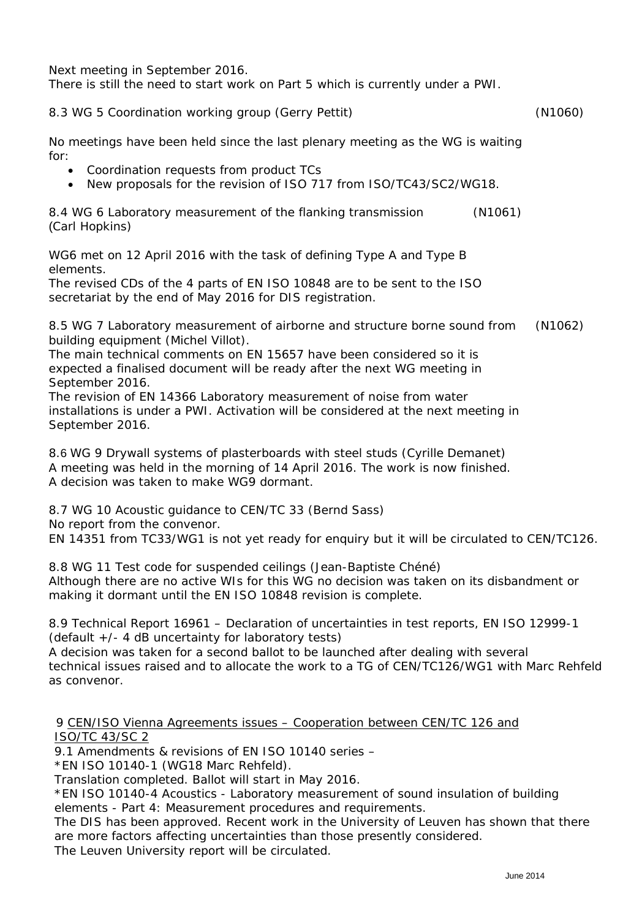Next meeting in September 2016.

There is still the need to start work on Part 5 which is currently under a PWI.

# 8.3 WG 5 Coordination working group (Gerry Pettit) (N1060)

No meetings have been held since the last plenary meeting as the WG is waiting for:

- Coordination requests from product TCs
- New proposals for the revision of ISO 717 from ISO/TC43/SC2/WG18.

8.4 WG 6 Laboratory measurement of the flanking transmission (N1061) (Carl Hopkins)

WG6 met on 12 April 2016 with the task of defining Type A and Type B elements.

The revised CDs of the 4 parts of EN ISO 10848 are to be sent to the ISO secretariat by the end of May 2016 for DIS registration.

8.5 WG 7 Laboratory measurement of airborne and structure borne sound from building equipment (Michel Villot). (N1062)

The main technical comments on EN 15657 have been considered so it is expected a finalised document will be ready after the next WG meeting in September 2016.

The revision of EN 14366 Laboratory measurement of noise from water installations is under a PWI. Activation will be considered at the next meeting in September 2016.

8.6 WG 9 Drywall systems of plasterboards with steel studs (Cyrille Demanet) A meeting was held in the morning of 14 April 2016. The work is now finished. A decision was taken to make WG9 dormant.

8.7 WG 10 Acoustic guidance to CEN/TC 33 (Bernd Sass) No report from the convenor. EN 14351 from TC33/WG1 is not yet ready for enquiry but it will be circulated to CEN/TC126.

8.8 WG 11 Test code for suspended ceilings (Jean-Baptiste Chéné) Although there are no active WIs for this WG no decision was taken on its disbandment or making it dormant until the EN ISO 10848 revision is complete.

8.9 Technical Report 16961 – Declaration of uncertainties in test reports, EN ISO 12999-1 (default +/- 4 dB uncertainty for laboratory tests)

A decision was taken for a second ballot to be launched after dealing with several technical issues raised and to allocate the work to a TG of CEN/TC126/WG1 with Marc Rehfeld as convenor.

# 9 CEN/ISO Vienna Agreements issues – Cooperation between CEN/TC 126 and ISO/TC 43/SC 2

9.1 Amendments & revisions of EN ISO 10140 series –

\*EN ISO 10140-1 (WG18 Marc Rehfeld).

Translation completed. Ballot will start in May 2016.

\*EN ISO 10140-4 Acoustics - Laboratory measurement of sound insulation of building elements - Part 4: Measurement procedures and requirements.

The DIS has been approved. Recent work in the University of Leuven has shown that there are more factors affecting uncertainties than those presently considered.

The Leuven University report will be circulated.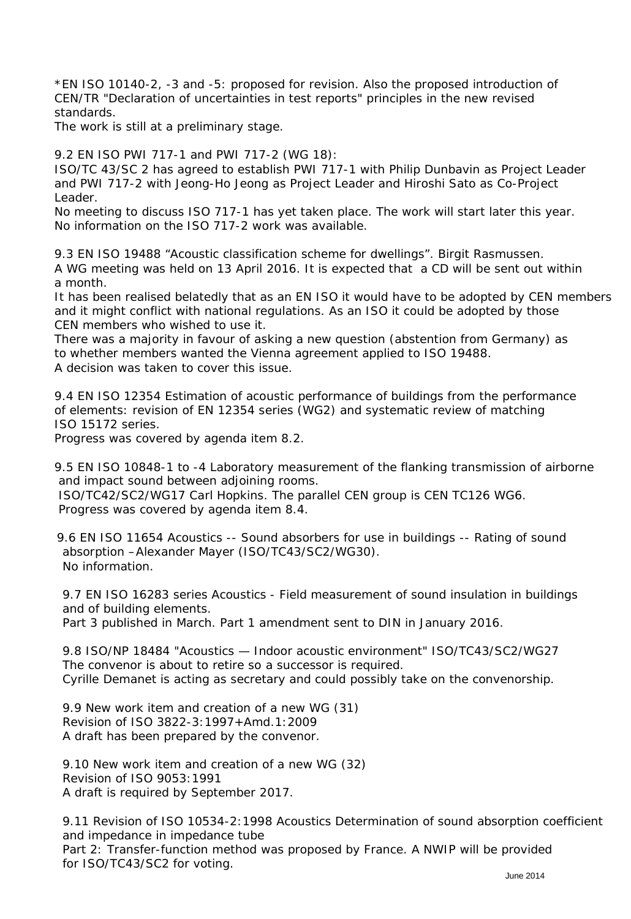\*EN ISO 10140-2, -3 and -5: proposed for revision. Also the proposed introduction of CEN/TR "Declaration of uncertainties in test reports" principles in the new revised standards.

The work is still at a preliminary stage.

9.2 EN ISO PWI 717-1 and PWI 717-2 (WG 18):

ISO/TC 43/SC 2 has agreed to establish PWI 717-1 with Philip Dunbavin as Project Leader and PWI 717-2 with Jeong-Ho Jeong as Project Leader and Hiroshi Sato as Co-Project Leader.

No meeting to discuss ISO 717-1 has yet taken place. The work will start later this year. No information on the ISO 717-2 work was available.

9.3 EN ISO 19488 "Acoustic classification scheme for dwellings". Birgit Rasmussen. A WG meeting was held on 13 April 2016. It is expected that a CD will be sent out within a month.

It has been realised belatedly that as an EN ISO it would have to be adopted by CEN members and it might conflict with national regulations. As an ISO it could be adopted by those CEN members who wished to use it.

There was a majority in favour of asking a new question (abstention from Germany) as to whether members wanted the Vienna agreement applied to ISO 19488. A decision was taken to cover this issue.

9.4 EN ISO 12354 Estimation of acoustic performance of buildings from the performance of elements: revision of EN 12354 series (WG2) and systematic review of matching ISO 15172 series.

Progress was covered by agenda item 8.2.

9.5 EN ISO 10848-1 to -4 Laboratory measurement of the flanking transmission of airborne and impact sound between adjoining rooms.

ISO/TC42/SC2/WG17 Carl Hopkins. The parallel CEN group is CEN TC126 WG6. Progress was covered by agenda item 8.4.

9.6 EN ISO 11654 Acoustics -- Sound absorbers for use in buildings -- Rating of sound absorption –Alexander Mayer (ISO/TC43/SC2/WG30). No information.

 9.7 EN ISO 16283 series Acoustics - Field measurement of sound insulation in buildings and of building elements.

Part 3 published in March. Part 1 amendment sent to DIN in January 2016.

 9.8 ISO/NP 18484 "Acoustics — Indoor acoustic environment" ISO/TC43/SC2/WG27 The convenor is about to retire so a successor is required. Cyrille Demanet is acting as secretary and could possibly take on the convenorship.

 9.9 New work item and creation of a new WG (31) Revision of ISO 3822-3:1997+Amd.1:2009 A draft has been prepared by the convenor.

 9.10 New work item and creation of a new WG (32) Revision of ISO 9053:1991 A draft is required by September 2017.

 9.11 Revision of ISO 10534-2:1998 Acoustics Determination of sound absorption coefficient and impedance in impedance tube

 Part 2: Transfer-function method was proposed by France. A NWIP will be provided for ISO/TC43/SC2 for voting.